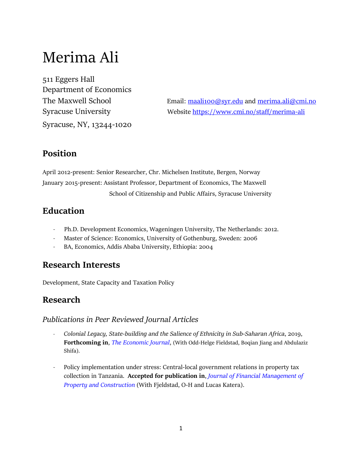# Merima Ali

511 Eggers Hall Department of Economics Syracuse, NY, 13244-1020

The Maxwell School Email: [maali100@syr.edu](mailto:maali100@syr.edu) and [merima.ali@cmi.no](mailto:merima.ali@cmi.no) Syracuse University Website <https://www.cmi.no/staff/merima-ali>

## **Position**

April 2012-present: Senior Researcher, Chr. Michelsen Institute, Bergen, Norway January 2015-present: Assistant Professor, Department of Economics, The Maxwell School of Citizenship and Public Affairs, Syracuse University

# **Education**

- Ph.D. Development Economics, Wageningen University, The Netherlands: 2012.
- Master of Science: Economics, University of Gothenburg, Sweden: 2006
- BA, Economics, Addis Ababa University, Ethiopia: 2004

## **Research Interests**

Development, State Capacity and Taxation Policy

# **Research**

#### *Publications in Peer Reviewed Journal Articles*

- *Colonial Legacy, State-building and the Salience of Ethnicity in Sub-Saharan Africa*, 2019, **Forthcoming in**, *The Economic Journal*, (With Odd-Helge Fieldstad, Boqian Jiang and Abdulaziz Shifa).
- Policy implementation under stress: Central-local government relations in property tax collection in Tanzania. **Accepted for publication in**, *Journal of Financial Management of Property and Construction* (With Fjeldstad, O-H and Lucas Katera).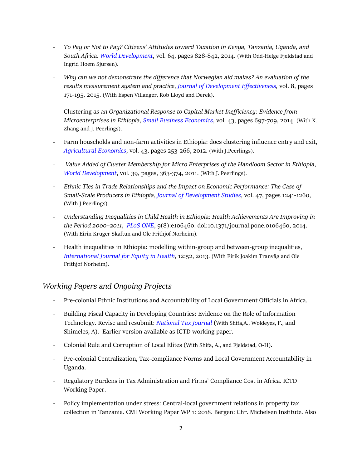- *To Pay or Not to Pay? Citizens' Attitudes toward Taxation in Kenya, Tanzania, Uganda, and South Africa*. *World Development*, vol*.* [64,](http://www.sciencedirect.com/science/journal/0305750X/64/supp/C) pages 828-842, 2014. (With [Odd-Helge Fjeldstad](http://www.sciencedirect.com/science/article/pii/S0305750X14002083) and [Ingrid Hoem Sjursen\)](http://www.sciencedirect.com/science/article/pii/S0305750X14002083).
- *Why can we not demonstrate the difference that Norwegian aid makes? An evaluation of the results measurement system and practice*, *Journal of Development Effectiveness,* vol. 8, pages 171-195, 2015. (With Espen Villanger, Rob Lloyd and Derek).
- Clustering *as an Organizational Response to Capital Market Inefficiency: Evidence from Microenterprises in Ethiopia*, *Small Business Economics*, vol. 43, pages 697-709, 2014. (With X. Zhang and J. Peerlings).
- Farm households and non-farm activities in Ethiopia: does clustering influence entry and exit, *Agricultural Economics*, vol. 43, pages 253-266, 2012. (With J.Peerlings).
- *Value Added of Cluster Membership for Micro Enterprises of the Handloom Sector in Ethiopia*, *World Development*, vol. 39, pages, 363-374, 2011. (With J. Peerlings).
- *Ethnic Ties in Trade Relationships and the Impact on Economic Performance: The Case of Small-Scale Producers in Ethiopia*, *Journal of Development Studies*, vol. 47, pages 1241-1260, (With J.Peerlings).
- *Understanding Inequalities in Child Health in Ethiopia: Health Achievements Are Improving in the Period 2000–2011*, *PLoS ONE*, 9(8):e106460. doi:10.1371/journal.pone.0106460, 2014. (With Eirin Kruger Skaftun and Ole Frithjof Norheim).
- Health inequalities in Ethiopia: modelling within-group and between-group inequalities, *International Journal for Equity in Health*, 12:52, 2013. (With Eirik Joakim Tranvåg and Ole Frithjof Norheim).

#### *Working Papers and Ongoing Projects*

- Pre-colonial Ethnic Institutions and Accountability of Local Government Officials in Africa.
- Building Fiscal Capacity in Developing Countries: Evidence on the Role of Information Technology. Revise and resubmit: *National Tax Journal* (With Shifa,A., Woldeyes, F., and Shimeles, A). Earlier version available as ICTD working paper.
- Colonial Rule and Corruption of Local Elites (With Shifa, A., and Fjeldstad, O-H).
- Pre-colonial Centralization, Tax-compliance Norms and Local Government Accountability in Uganda.
- Regulatory Burdens in Tax Administration and Firms' Compliance Cost in Africa. ICTD Working Paper.
- Policy implementation under stress: Central-local government relations in property tax collection in Tanzania. CMI Working Paper WP 1: 2018. Bergen: Chr. Michelsen Institute. Also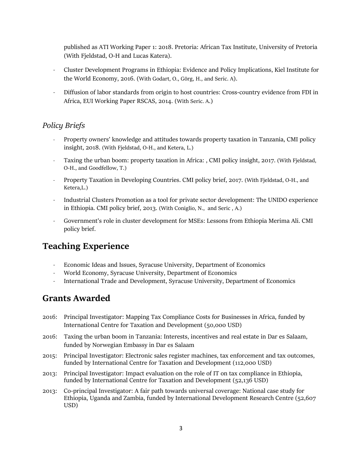published as ATI Working Paper 1: 2018. Pretoria: African Tax Institute, University of Pretoria (With Fjeldstad, O-H and Lucas Katera).

- Cluster Development Programs in Ethiopia: Evidence and Policy Implications, Kiel Institute for the World Economy, 2016. (With Godart, O., Görg, H., and Seric. A).
- Diffusion of labor standards from origin to host countries: Cross-country evidence from FDI in Africa, EUI Working Paper RSCAS, 2014. (With Seric. A.)

#### *Policy Briefs*

- Property owners' knowledge and attitudes towards property taxation in Tanzania, CMI policy insight, 2018. (With Fjeldstad, O-H., and Ketera, L.)
- Taxing the urban boom: property taxation in Africa: , CMI policy insight, 2017. (With Fjeldstad, O-H., and Goodfellow, T.)
- Property Taxation in Developing Countries. CMI policy brief, 2017. (With Fjeldstad, O-H., and Ketera,L.)
- [Industrial Clusters Promotion as a tool for private sector development: The UNIDO experience](http://www.cmi.no/publications/publication/?4973=industrial-clusters-promotion-as-a-tool-for)  [in Ethiopia.](http://www.cmi.no/publications/publication/?4973=industrial-clusters-promotion-as-a-tool-for) CMI policy brief, 2013. (With Coniglio, N., and Seric , A.)
- [Government's role in cluster development for MSEs: Lessons from Ethiopia](http://www.cmi.no/publications/publication/?4538=governments-role-in-cluster-development-for-mses) Merima Ali. CMI policy brief.

## **Teaching Experience**

- Economic Ideas and Issues, Syracuse University, Department of Economics
- World Economy, Syracuse University, Department of Economics
- International Trade and Development, Syracuse University, Department of Economics

## **Grants Awarded**

- 2016: Principal Investigator: Mapping Tax Compliance Costs for Businesses in Africa, funded by International Centre for Taxation and Development (50,000 USD)
- 2016: Taxing the urban boom in Tanzania: Interests, incentives and real estate in Dar es Salaam, funded by Norwegian Embassy in Dar es Salaam
- 2015: Principal Investigator: Electronic sales register machines, tax enforcement and tax outcomes, funded by International Centre for Taxation and Development (112,000 USD)
- 2013: Principal Investigator: Impact evaluation on the role of IT on tax compliance in Ethiopia, funded by International Centre for Taxation and Development (52,136 USD)
- 2013: Co-principal Investigator: A fair path towards universal coverage: National case study for Ethiopia, Uganda and Zambia, funded by International Development Research Centre (52,607 USD)